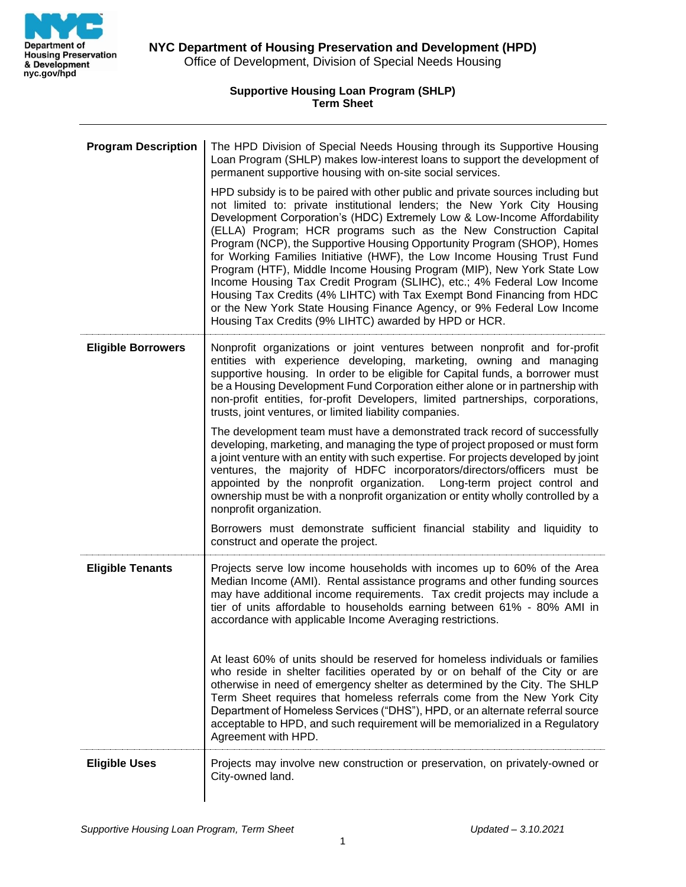

**Supportive Housing Loan Program (SHLP) Term Sheet**

| <b>Program Description</b> | The HPD Division of Special Needs Housing through its Supportive Housing<br>Loan Program (SHLP) makes low-interest loans to support the development of<br>permanent supportive housing with on-site social services.<br>HPD subsidy is to be paired with other public and private sources including but                                                                                                                                                                                                                                                                                                                                                                                                                                           |
|----------------------------|---------------------------------------------------------------------------------------------------------------------------------------------------------------------------------------------------------------------------------------------------------------------------------------------------------------------------------------------------------------------------------------------------------------------------------------------------------------------------------------------------------------------------------------------------------------------------------------------------------------------------------------------------------------------------------------------------------------------------------------------------|
|                            | not limited to: private institutional lenders; the New York City Housing<br>Development Corporation's (HDC) Extremely Low & Low-Income Affordability<br>(ELLA) Program; HCR programs such as the New Construction Capital<br>Program (NCP), the Supportive Housing Opportunity Program (SHOP), Homes<br>for Working Families Initiative (HWF), the Low Income Housing Trust Fund<br>Program (HTF), Middle Income Housing Program (MIP), New York State Low<br>Income Housing Tax Credit Program (SLIHC), etc.; 4% Federal Low Income<br>Housing Tax Credits (4% LIHTC) with Tax Exempt Bond Financing from HDC<br>or the New York State Housing Finance Agency, or 9% Federal Low Income<br>Housing Tax Credits (9% LIHTC) awarded by HPD or HCR. |
| <b>Eligible Borrowers</b>  | Nonprofit organizations or joint ventures between nonprofit and for-profit<br>entities with experience developing, marketing, owning and managing<br>supportive housing. In order to be eligible for Capital funds, a borrower must<br>be a Housing Development Fund Corporation either alone or in partnership with<br>non-profit entities, for-profit Developers, limited partnerships, corporations,<br>trusts, joint ventures, or limited liability companies.                                                                                                                                                                                                                                                                                |
|                            | The development team must have a demonstrated track record of successfully<br>developing, marketing, and managing the type of project proposed or must form<br>a joint venture with an entity with such expertise. For projects developed by joint<br>ventures, the majority of HDFC incorporators/directors/officers must be<br>appointed by the nonprofit organization. Long-term project control and<br>ownership must be with a nonprofit organization or entity wholly controlled by a<br>nonprofit organization.                                                                                                                                                                                                                            |
|                            | Borrowers must demonstrate sufficient financial stability and liquidity to<br>construct and operate the project.                                                                                                                                                                                                                                                                                                                                                                                                                                                                                                                                                                                                                                  |
| <b>Eligible Tenants</b>    | Projects serve low income households with incomes up to 60% of the Area<br>Median Income (AMI). Rental assistance programs and other funding sources<br>may have additional income requirements. Tax credit projects may include a<br>tier of units affordable to households earning between 61% - 80% AMI in<br>accordance with applicable Income Averaging restrictions.                                                                                                                                                                                                                                                                                                                                                                        |
|                            | At least 60% of units should be reserved for homeless individuals or families<br>who reside in shelter facilities operated by or on behalf of the City or are<br>otherwise in need of emergency shelter as determined by the City. The SHLP<br>Term Sheet requires that homeless referrals come from the New York City<br>Department of Homeless Services ("DHS"), HPD, or an alternate referral source<br>acceptable to HPD, and such requirement will be memorialized in a Regulatory<br>Agreement with HPD.                                                                                                                                                                                                                                    |
| <b>Eligible Uses</b>       | Projects may involve new construction or preservation, on privately-owned or<br>City-owned land.                                                                                                                                                                                                                                                                                                                                                                                                                                                                                                                                                                                                                                                  |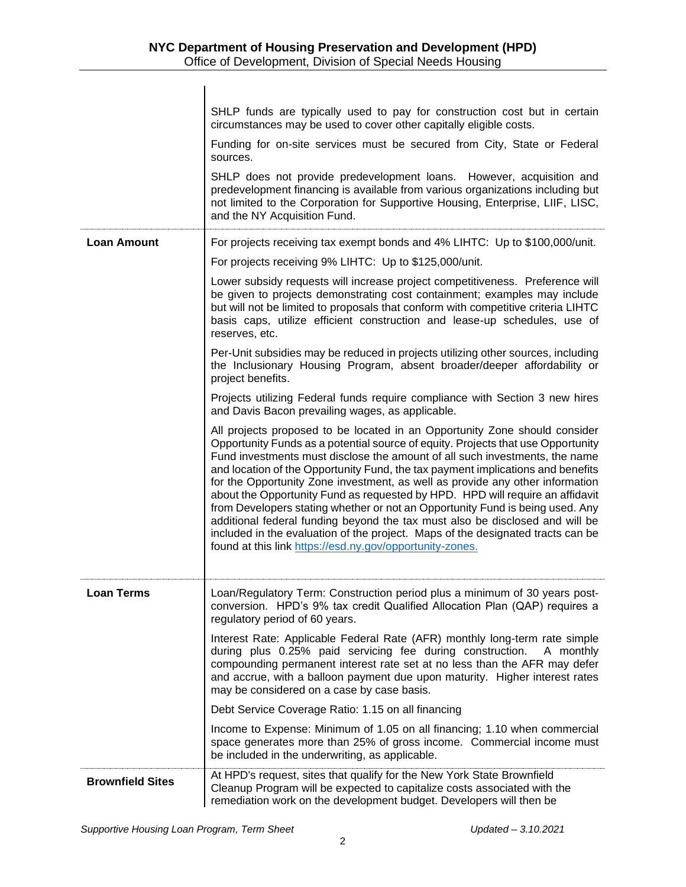|                         | SHLP funds are typically used to pay for construction cost but in certain<br>circumstances may be used to cover other capitally eligible costs.                                                                                                                                                                                                                                                                                                                                                                                                                                                                                                                                                                                                                                                                    |
|-------------------------|--------------------------------------------------------------------------------------------------------------------------------------------------------------------------------------------------------------------------------------------------------------------------------------------------------------------------------------------------------------------------------------------------------------------------------------------------------------------------------------------------------------------------------------------------------------------------------------------------------------------------------------------------------------------------------------------------------------------------------------------------------------------------------------------------------------------|
|                         | Funding for on-site services must be secured from City, State or Federal<br>sources.                                                                                                                                                                                                                                                                                                                                                                                                                                                                                                                                                                                                                                                                                                                               |
|                         | SHLP does not provide predevelopment loans. However, acquisition and<br>predevelopment financing is available from various organizations including but<br>not limited to the Corporation for Supportive Housing, Enterprise, LIIF, LISC,<br>and the NY Acquisition Fund.                                                                                                                                                                                                                                                                                                                                                                                                                                                                                                                                           |
| <b>Loan Amount</b>      | For projects receiving tax exempt bonds and 4% LIHTC: Up to \$100,000/unit.                                                                                                                                                                                                                                                                                                                                                                                                                                                                                                                                                                                                                                                                                                                                        |
|                         | For projects receiving 9% LIHTC: Up to \$125,000/unit.                                                                                                                                                                                                                                                                                                                                                                                                                                                                                                                                                                                                                                                                                                                                                             |
|                         | Lower subsidy requests will increase project competitiveness. Preference will<br>be given to projects demonstrating cost containment; examples may include<br>but will not be limited to proposals that conform with competitive criteria LIHTC<br>basis caps, utilize efficient construction and lease-up schedules, use of<br>reserves, etc.                                                                                                                                                                                                                                                                                                                                                                                                                                                                     |
|                         | Per-Unit subsidies may be reduced in projects utilizing other sources, including<br>the Inclusionary Housing Program, absent broader/deeper affordability or<br>project benefits.                                                                                                                                                                                                                                                                                                                                                                                                                                                                                                                                                                                                                                  |
|                         | Projects utilizing Federal funds require compliance with Section 3 new hires<br>and Davis Bacon prevailing wages, as applicable.                                                                                                                                                                                                                                                                                                                                                                                                                                                                                                                                                                                                                                                                                   |
|                         | All projects proposed to be located in an Opportunity Zone should consider<br>Opportunity Funds as a potential source of equity. Projects that use Opportunity<br>Fund investments must disclose the amount of all such investments, the name<br>and location of the Opportunity Fund, the tax payment implications and benefits<br>for the Opportunity Zone investment, as well as provide any other information<br>about the Opportunity Fund as requested by HPD. HPD will require an affidavit<br>from Developers stating whether or not an Opportunity Fund is being used. Any<br>additional federal funding beyond the tax must also be disclosed and will be<br>included in the evaluation of the project. Maps of the designated tracts can be<br>found at this link https://esd.ny.gov/opportunity-zones. |
| <b>Loan Terms</b>       | Loan/Regulatory Term: Construction period plus a minimum of 30 years post-<br>conversion. HPD's 9% tax credit Qualified Allocation Plan (QAP) requires a<br>regulatory period of 60 years.                                                                                                                                                                                                                                                                                                                                                                                                                                                                                                                                                                                                                         |
|                         | Interest Rate: Applicable Federal Rate (AFR) monthly long-term rate simple<br>during plus 0.25% paid servicing fee during construction.<br>A monthly<br>compounding permanent interest rate set at no less than the AFR may defer<br>and accrue, with a balloon payment due upon maturity. Higher interest rates<br>may be considered on a case by case basis.                                                                                                                                                                                                                                                                                                                                                                                                                                                     |
|                         | Debt Service Coverage Ratio: 1.15 on all financing                                                                                                                                                                                                                                                                                                                                                                                                                                                                                                                                                                                                                                                                                                                                                                 |
|                         | Income to Expense: Minimum of 1.05 on all financing; 1.10 when commercial<br>space generates more than 25% of gross income. Commercial income must<br>be included in the underwriting, as applicable.                                                                                                                                                                                                                                                                                                                                                                                                                                                                                                                                                                                                              |
| <b>Brownfield Sites</b> | At HPD's request, sites that qualify for the New York State Brownfield<br>Cleanup Program will be expected to capitalize costs associated with the<br>remediation work on the development budget. Developers will then be                                                                                                                                                                                                                                                                                                                                                                                                                                                                                                                                                                                          |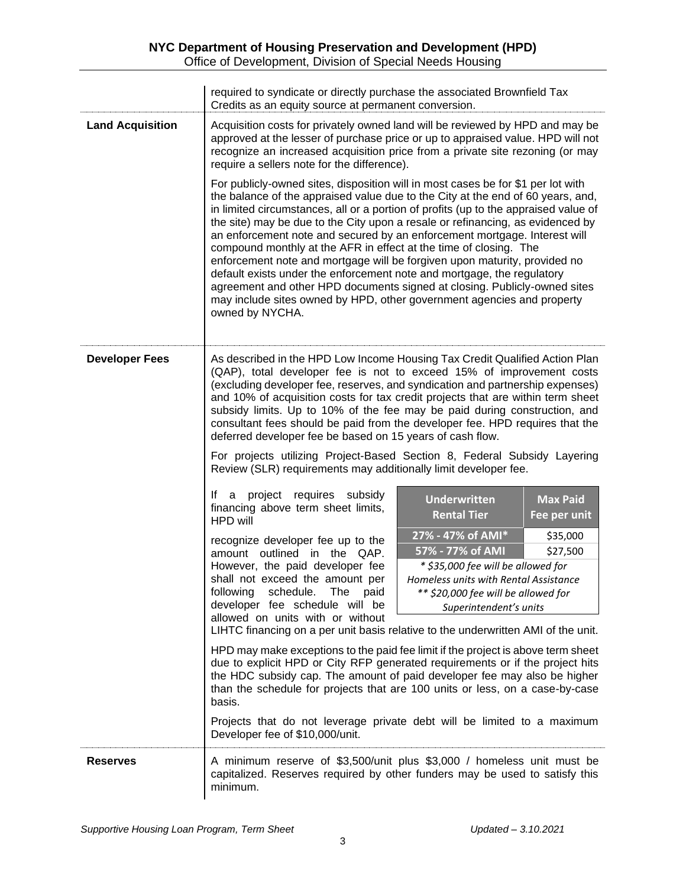|                         | required to syndicate or directly purchase the associated Brownfield Tax<br>Credits as an equity source at permanent conversion.                                                                                                                                                                                                                                                                                                                                                                                                                                                                                                                                                                                                                                                                                                |
|-------------------------|---------------------------------------------------------------------------------------------------------------------------------------------------------------------------------------------------------------------------------------------------------------------------------------------------------------------------------------------------------------------------------------------------------------------------------------------------------------------------------------------------------------------------------------------------------------------------------------------------------------------------------------------------------------------------------------------------------------------------------------------------------------------------------------------------------------------------------|
| <b>Land Acquisition</b> | Acquisition costs for privately owned land will be reviewed by HPD and may be<br>approved at the lesser of purchase price or up to appraised value. HPD will not<br>recognize an increased acquisition price from a private site rezoning (or may<br>require a sellers note for the difference).                                                                                                                                                                                                                                                                                                                                                                                                                                                                                                                                |
|                         | For publicly-owned sites, disposition will in most cases be for \$1 per lot with<br>the balance of the appraised value due to the City at the end of 60 years, and,<br>in limited circumstances, all or a portion of profits (up to the appraised value of<br>the site) may be due to the City upon a resale or refinancing, as evidenced by<br>an enforcement note and secured by an enforcement mortgage. Interest will<br>compound monthly at the AFR in effect at the time of closing. The<br>enforcement note and mortgage will be forgiven upon maturity, provided no<br>default exists under the enforcement note and mortgage, the regulatory<br>agreement and other HPD documents signed at closing. Publicly-owned sites<br>may include sites owned by HPD, other government agencies and property<br>owned by NYCHA. |
| <b>Developer Fees</b>   | As described in the HPD Low Income Housing Tax Credit Qualified Action Plan<br>(QAP), total developer fee is not to exceed 15% of improvement costs<br>(excluding developer fee, reserves, and syndication and partnership expenses)<br>and 10% of acquisition costs for tax credit projects that are within term sheet<br>subsidy limits. Up to 10% of the fee may be paid during construction, and<br>consultant fees should be paid from the developer fee. HPD requires that the<br>deferred developer fee be based on 15 years of cash flow.<br>For projects utilizing Project-Based Section 8, Federal Subsidy Layering<br>Review (SLR) requirements may additionally limit developer fee.                                                                                                                                |
|                         | project requires subsidy<br>lf.<br>a<br><b>Underwritten</b><br><b>Max Paid</b><br>financing above term sheet limits,<br><b>Rental Tier</b><br>Fee per unit<br>HPD will                                                                                                                                                                                                                                                                                                                                                                                                                                                                                                                                                                                                                                                          |
|                         | 27% - 47% of AMI*<br>\$35,000<br>recognize developer fee up to the<br>57% - 77% of AMI<br>\$27,500<br>amount outlined in the QAP.<br>However, the paid developer fee<br>* \$35,000 fee will be allowed for<br>shall not exceed the amount per<br>Homeless units with Rental Assistance<br>following<br>schedule.<br>The<br>** \$20,000 fee will be allowed for<br>paid<br>developer fee schedule will be<br>Superintendent's units<br>allowed on units with or without                                                                                                                                                                                                                                                                                                                                                          |
|                         | LIHTC financing on a per unit basis relative to the underwritten AMI of the unit.<br>HPD may make exceptions to the paid fee limit if the project is above term sheet<br>due to explicit HPD or City RFP generated requirements or if the project hits<br>the HDC subsidy cap. The amount of paid developer fee may also be higher<br>than the schedule for projects that are 100 units or less, on a case-by-case<br>basis.                                                                                                                                                                                                                                                                                                                                                                                                    |
|                         | Projects that do not leverage private debt will be limited to a maximum<br>Developer fee of \$10,000/unit.                                                                                                                                                                                                                                                                                                                                                                                                                                                                                                                                                                                                                                                                                                                      |
| <b>Reserves</b>         | A minimum reserve of \$3,500/unit plus \$3,000 / homeless unit must be<br>capitalized. Reserves required by other funders may be used to satisfy this<br>minimum.                                                                                                                                                                                                                                                                                                                                                                                                                                                                                                                                                                                                                                                               |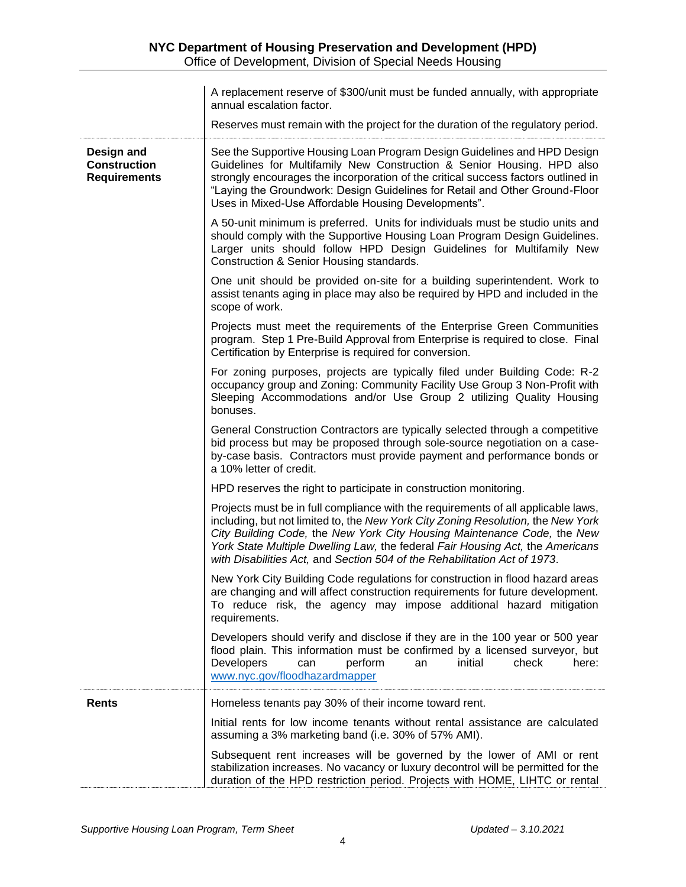|                                                          | A replacement reserve of \$300/unit must be funded annually, with appropriate<br>annual escalation factor.                                                                                                                                                                                                                                                                                                     |
|----------------------------------------------------------|----------------------------------------------------------------------------------------------------------------------------------------------------------------------------------------------------------------------------------------------------------------------------------------------------------------------------------------------------------------------------------------------------------------|
|                                                          | Reserves must remain with the project for the duration of the regulatory period.                                                                                                                                                                                                                                                                                                                               |
| Design and<br><b>Construction</b><br><b>Requirements</b> | See the Supportive Housing Loan Program Design Guidelines and HPD Design<br>Guidelines for Multifamily New Construction & Senior Housing. HPD also<br>strongly encourages the incorporation of the critical success factors outlined in<br>"Laying the Groundwork: Design Guidelines for Retail and Other Ground-Floor<br>Uses in Mixed-Use Affordable Housing Developments".                                  |
|                                                          | A 50-unit minimum is preferred. Units for individuals must be studio units and<br>should comply with the Supportive Housing Loan Program Design Guidelines.<br>Larger units should follow HPD Design Guidelines for Multifamily New<br>Construction & Senior Housing standards.                                                                                                                                |
|                                                          | One unit should be provided on-site for a building superintendent. Work to<br>assist tenants aging in place may also be required by HPD and included in the<br>scope of work.                                                                                                                                                                                                                                  |
|                                                          | Projects must meet the requirements of the Enterprise Green Communities<br>program. Step 1 Pre-Build Approval from Enterprise is required to close. Final<br>Certification by Enterprise is required for conversion.                                                                                                                                                                                           |
|                                                          | For zoning purposes, projects are typically filed under Building Code: R-2<br>occupancy group and Zoning: Community Facility Use Group 3 Non-Profit with<br>Sleeping Accommodations and/or Use Group 2 utilizing Quality Housing<br>bonuses.                                                                                                                                                                   |
|                                                          | General Construction Contractors are typically selected through a competitive<br>bid process but may be proposed through sole-source negotiation on a case-<br>by-case basis. Contractors must provide payment and performance bonds or<br>a 10% letter of credit.                                                                                                                                             |
|                                                          | HPD reserves the right to participate in construction monitoring.                                                                                                                                                                                                                                                                                                                                              |
|                                                          | Projects must be in full compliance with the requirements of all applicable laws,<br>including, but not limited to, the New York City Zoning Resolution, the New York<br>City Building Code, the New York City Housing Maintenance Code, the New<br>York State Multiple Dwelling Law, the federal Fair Housing Act, the Americans<br>with Disabilities Act, and Section 504 of the Rehabilitation Act of 1973. |
|                                                          | New York City Building Code regulations for construction in flood hazard areas<br>are changing and will affect construction requirements for future development.<br>To reduce risk, the agency may impose additional hazard mitigation<br>requirements.                                                                                                                                                        |
|                                                          | Developers should verify and disclose if they are in the 100 year or 500 year<br>flood plain. This information must be confirmed by a licensed surveyor, but<br>Developers<br>perform<br>initial<br>check<br>an<br>here:<br>can<br>www.nyc.gov/floodhazardmapper                                                                                                                                               |
| <b>Rents</b>                                             | Homeless tenants pay 30% of their income toward rent.                                                                                                                                                                                                                                                                                                                                                          |
|                                                          | Initial rents for low income tenants without rental assistance are calculated<br>assuming a 3% marketing band (i.e. 30% of 57% AMI).                                                                                                                                                                                                                                                                           |
|                                                          | Subsequent rent increases will be governed by the lower of AMI or rent<br>stabilization increases. No vacancy or luxury decontrol will be permitted for the<br>duration of the HPD restriction period. Projects with HOME, LIHTC or rental                                                                                                                                                                     |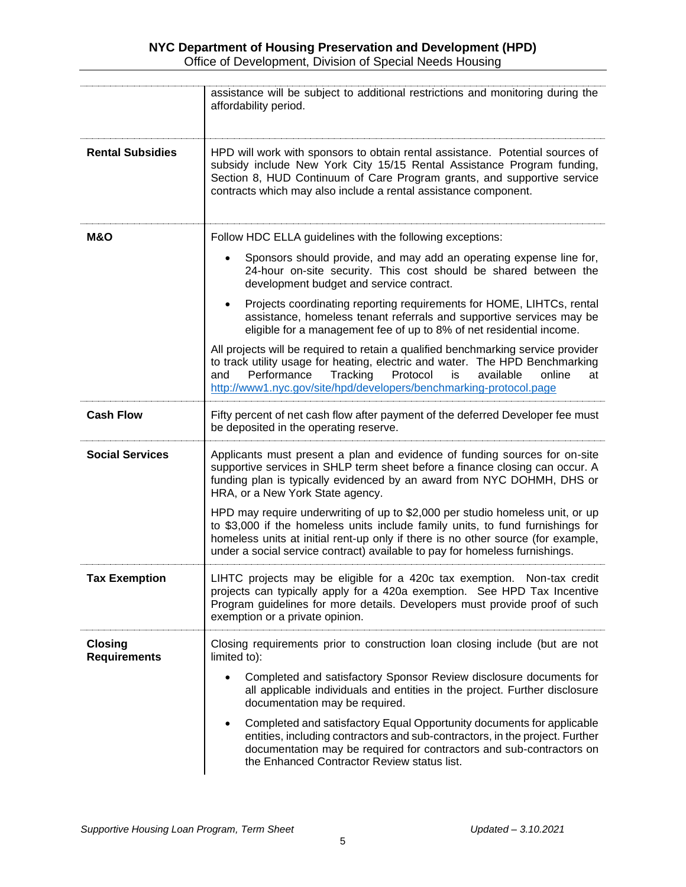|                                       | assistance will be subject to additional restrictions and monitoring during the<br>affordability period.                                                                                                                                                                                                                           |
|---------------------------------------|------------------------------------------------------------------------------------------------------------------------------------------------------------------------------------------------------------------------------------------------------------------------------------------------------------------------------------|
| <b>Rental Subsidies</b>               | HPD will work with sponsors to obtain rental assistance. Potential sources of<br>subsidy include New York City 15/15 Rental Assistance Program funding,<br>Section 8, HUD Continuum of Care Program grants, and supportive service<br>contracts which may also include a rental assistance component.                              |
| <b>M&amp;O</b>                        | Follow HDC ELLA guidelines with the following exceptions:                                                                                                                                                                                                                                                                          |
|                                       | Sponsors should provide, and may add an operating expense line for,<br>24-hour on-site security. This cost should be shared between the<br>development budget and service contract.                                                                                                                                                |
|                                       | Projects coordinating reporting requirements for HOME, LIHTCs, rental<br>$\bullet$<br>assistance, homeless tenant referrals and supportive services may be<br>eligible for a management fee of up to 8% of net residential income.                                                                                                 |
|                                       | All projects will be required to retain a qualified benchmarking service provider<br>to track utility usage for heating, electric and water. The HPD Benchmarking<br>Performance<br>Protocol<br>Tracking<br>available<br>is<br>online<br>and<br>at<br>http://www1.nyc.gov/site/hpd/developers/benchmarking-protocol.page           |
| <b>Cash Flow</b>                      | Fifty percent of net cash flow after payment of the deferred Developer fee must<br>be deposited in the operating reserve.                                                                                                                                                                                                          |
| <b>Social Services</b>                | Applicants must present a plan and evidence of funding sources for on-site<br>supportive services in SHLP term sheet before a finance closing can occur. A<br>funding plan is typically evidenced by an award from NYC DOHMH, DHS or<br>HRA, or a New York State agency.                                                           |
|                                       | HPD may require underwriting of up to \$2,000 per studio homeless unit, or up<br>to \$3,000 if the homeless units include family units, to fund furnishings for<br>homeless units at initial rent-up only if there is no other source (for example,<br>under a social service contract) available to pay for homeless furnishings. |
| <b>Tax Exemption</b>                  | LIHTC projects may be eligible for a 420c tax exemption.<br>Non-tax credit<br>projects can typically apply for a 420a exemption. See HPD Tax Incentive<br>Program guidelines for more details. Developers must provide proof of such<br>exemption or a private opinion.                                                            |
| <b>Closing</b><br><b>Requirements</b> | Closing requirements prior to construction loan closing include (but are not<br>limited to):                                                                                                                                                                                                                                       |
|                                       | Completed and satisfactory Sponsor Review disclosure documents for<br>all applicable individuals and entities in the project. Further disclosure<br>documentation may be required.                                                                                                                                                 |
|                                       | Completed and satisfactory Equal Opportunity documents for applicable<br>entities, including contractors and sub-contractors, in the project. Further<br>documentation may be required for contractors and sub-contractors on<br>the Enhanced Contractor Review status list.                                                       |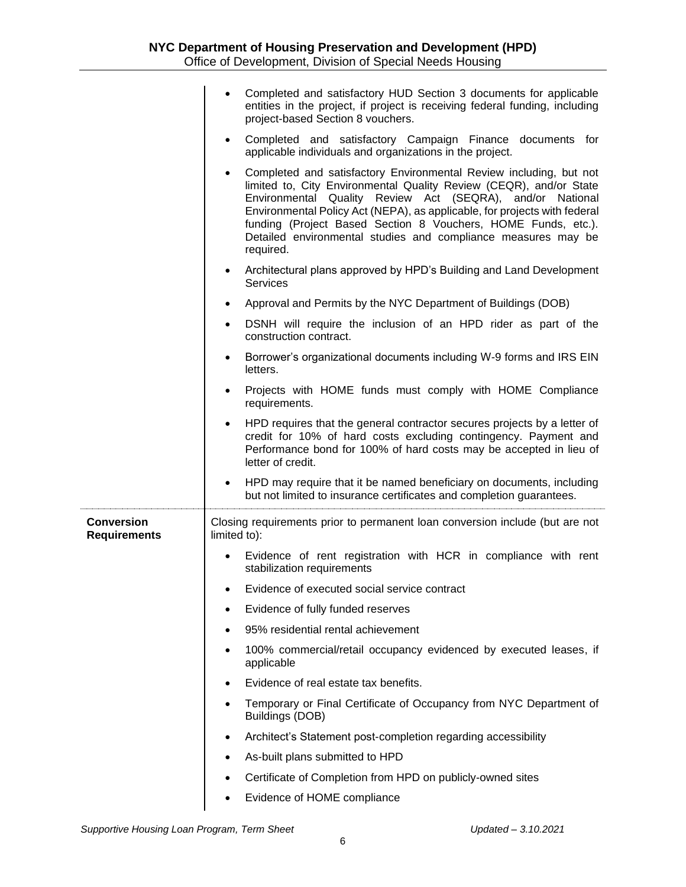|                                          | Completed and satisfactory HUD Section 3 documents for applicable<br>entities in the project, if project is receiving federal funding, including<br>project-based Section 8 vouchers.                                                                                                                                                                                                                                                          |
|------------------------------------------|------------------------------------------------------------------------------------------------------------------------------------------------------------------------------------------------------------------------------------------------------------------------------------------------------------------------------------------------------------------------------------------------------------------------------------------------|
|                                          | Completed and satisfactory Campaign Finance documents for<br>$\bullet$<br>applicable individuals and organizations in the project.                                                                                                                                                                                                                                                                                                             |
|                                          | Completed and satisfactory Environmental Review including, but not<br>$\bullet$<br>limited to, City Environmental Quality Review (CEQR), and/or State<br>Environmental Quality Review Act (SEQRA), and/or National<br>Environmental Policy Act (NEPA), as applicable, for projects with federal<br>funding (Project Based Section 8 Vouchers, HOME Funds, etc.).<br>Detailed environmental studies and compliance measures may be<br>required. |
|                                          | Architectural plans approved by HPD's Building and Land Development<br>$\bullet$<br><b>Services</b>                                                                                                                                                                                                                                                                                                                                            |
|                                          | Approval and Permits by the NYC Department of Buildings (DOB)<br>$\bullet$                                                                                                                                                                                                                                                                                                                                                                     |
|                                          | DSNH will require the inclusion of an HPD rider as part of the<br>$\bullet$<br>construction contract.                                                                                                                                                                                                                                                                                                                                          |
|                                          | Borrower's organizational documents including W-9 forms and IRS EIN<br>letters.                                                                                                                                                                                                                                                                                                                                                                |
|                                          | Projects with HOME funds must comply with HOME Compliance<br>requirements.                                                                                                                                                                                                                                                                                                                                                                     |
|                                          | HPD requires that the general contractor secures projects by a letter of<br>$\bullet$<br>credit for 10% of hard costs excluding contingency. Payment and<br>Performance bond for 100% of hard costs may be accepted in lieu of                                                                                                                                                                                                                 |
|                                          | letter of credit.                                                                                                                                                                                                                                                                                                                                                                                                                              |
|                                          | HPD may require that it be named beneficiary on documents, including<br>but not limited to insurance certificates and completion guarantees.                                                                                                                                                                                                                                                                                                   |
| <b>Conversion</b><br><b>Requirements</b> | Closing requirements prior to permanent loan conversion include (but are not<br>limited to):                                                                                                                                                                                                                                                                                                                                                   |
|                                          | Evidence of rent registration with HCR in compliance with rent<br>stabilization requirements                                                                                                                                                                                                                                                                                                                                                   |
|                                          | Evidence of executed social service contract                                                                                                                                                                                                                                                                                                                                                                                                   |
|                                          | Evidence of fully funded reserves                                                                                                                                                                                                                                                                                                                                                                                                              |
|                                          | 95% residential rental achievement<br>٠                                                                                                                                                                                                                                                                                                                                                                                                        |
|                                          | 100% commercial/retail occupancy evidenced by executed leases, if<br>٠<br>applicable                                                                                                                                                                                                                                                                                                                                                           |
|                                          | Evidence of real estate tax benefits.                                                                                                                                                                                                                                                                                                                                                                                                          |
|                                          | Temporary or Final Certificate of Occupancy from NYC Department of<br>٠<br>Buildings (DOB)                                                                                                                                                                                                                                                                                                                                                     |
|                                          | Architect's Statement post-completion regarding accessibility<br>٠                                                                                                                                                                                                                                                                                                                                                                             |
|                                          | As-built plans submitted to HPD<br>٠                                                                                                                                                                                                                                                                                                                                                                                                           |
|                                          | Certificate of Completion from HPD on publicly-owned sites                                                                                                                                                                                                                                                                                                                                                                                     |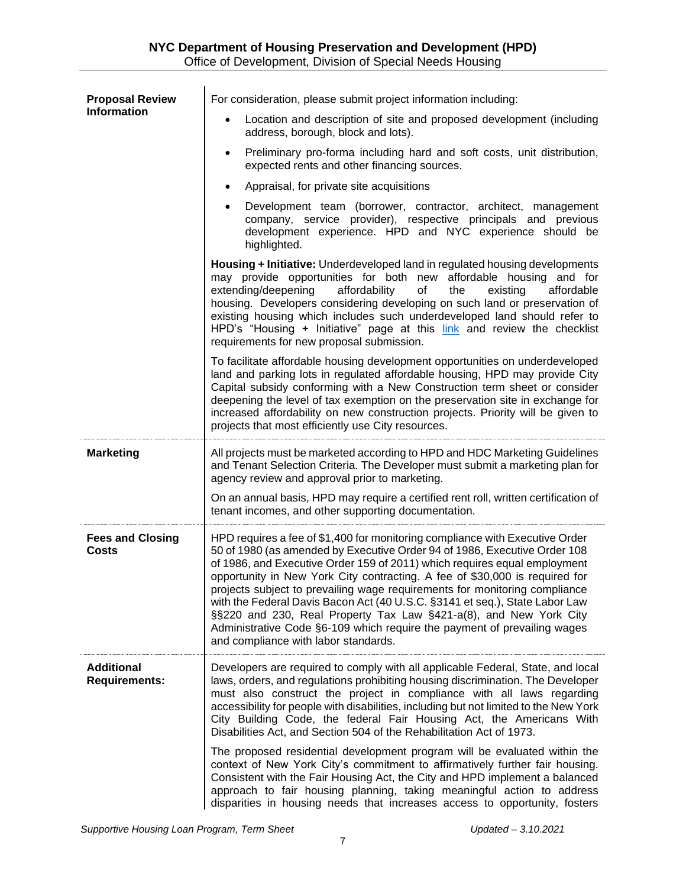| <b>Proposal Review</b>                    | For consideration, please submit project information including:                                                                                                                                                                                                                                                                                                                                                                                                                                                                                                                                                                                                             |
|-------------------------------------------|-----------------------------------------------------------------------------------------------------------------------------------------------------------------------------------------------------------------------------------------------------------------------------------------------------------------------------------------------------------------------------------------------------------------------------------------------------------------------------------------------------------------------------------------------------------------------------------------------------------------------------------------------------------------------------|
| <b>Information</b>                        | Location and description of site and proposed development (including<br>$\bullet$<br>address, borough, block and lots).                                                                                                                                                                                                                                                                                                                                                                                                                                                                                                                                                     |
|                                           | Preliminary pro-forma including hard and soft costs, unit distribution,<br>$\bullet$<br>expected rents and other financing sources.                                                                                                                                                                                                                                                                                                                                                                                                                                                                                                                                         |
|                                           | Appraisal, for private site acquisitions<br>$\bullet$                                                                                                                                                                                                                                                                                                                                                                                                                                                                                                                                                                                                                       |
|                                           | Development team (borrower, contractor, architect, management<br>$\bullet$<br>company, service provider), respective principals and previous<br>development experience. HPD and NYC experience should be<br>highlighted.                                                                                                                                                                                                                                                                                                                                                                                                                                                    |
|                                           | Housing + Initiative: Underdeveloped land in regulated housing developments<br>may provide opportunities for both new affordable housing and for<br>extending/deepening<br>affordability<br>existing<br>of<br>the<br>affordable<br>housing. Developers considering developing on such land or preservation of<br>existing housing which includes such underdeveloped land should refer to<br>HPD's "Housing + Initiative" page at this link and review the checklist<br>requirements for new proposal submission.                                                                                                                                                           |
|                                           | To facilitate affordable housing development opportunities on underdeveloped<br>land and parking lots in regulated affordable housing, HPD may provide City<br>Capital subsidy conforming with a New Construction term sheet or consider<br>deepening the level of tax exemption on the preservation site in exchange for<br>increased affordability on new construction projects. Priority will be given to<br>projects that most efficiently use City resources.                                                                                                                                                                                                          |
| <b>Marketing</b>                          | All projects must be marketed according to HPD and HDC Marketing Guidelines<br>and Tenant Selection Criteria. The Developer must submit a marketing plan for<br>agency review and approval prior to marketing.                                                                                                                                                                                                                                                                                                                                                                                                                                                              |
|                                           | On an annual basis, HPD may require a certified rent roll, written certification of<br>tenant incomes, and other supporting documentation.                                                                                                                                                                                                                                                                                                                                                                                                                                                                                                                                  |
| <b>Fees and Closing</b><br>Costs          | HPD requires a fee of \$1,400 for monitoring compliance with Executive Order<br>50 of 1980 (as amended by Executive Order 94 of 1986, Executive Order 108<br>of 1986, and Executive Order 159 of 2011) which requires equal employment<br>opportunity in New York City contracting. A fee of \$30,000 is required for<br>projects subject to prevailing wage requirements for monitoring compliance<br>with the Federal Davis Bacon Act (40 U.S.C. §3141 et seq.), State Labor Law<br>§§220 and 230, Real Property Tax Law §421-a(8), and New York City<br>Administrative Code §6-109 which require the payment of prevailing wages<br>and compliance with labor standards. |
| <b>Additional</b><br><b>Requirements:</b> | Developers are required to comply with all applicable Federal, State, and local<br>laws, orders, and regulations prohibiting housing discrimination. The Developer<br>must also construct the project in compliance with all laws regarding<br>accessibility for people with disabilities, including but not limited to the New York<br>City Building Code, the federal Fair Housing Act, the Americans With<br>Disabilities Act, and Section 504 of the Rehabilitation Act of 1973.                                                                                                                                                                                        |
|                                           | The proposed residential development program will be evaluated within the<br>context of New York City's commitment to affirmatively further fair housing.<br>Consistent with the Fair Housing Act, the City and HPD implement a balanced<br>approach to fair housing planning, taking meaningful action to address<br>disparities in housing needs that increases access to opportunity, fosters                                                                                                                                                                                                                                                                            |